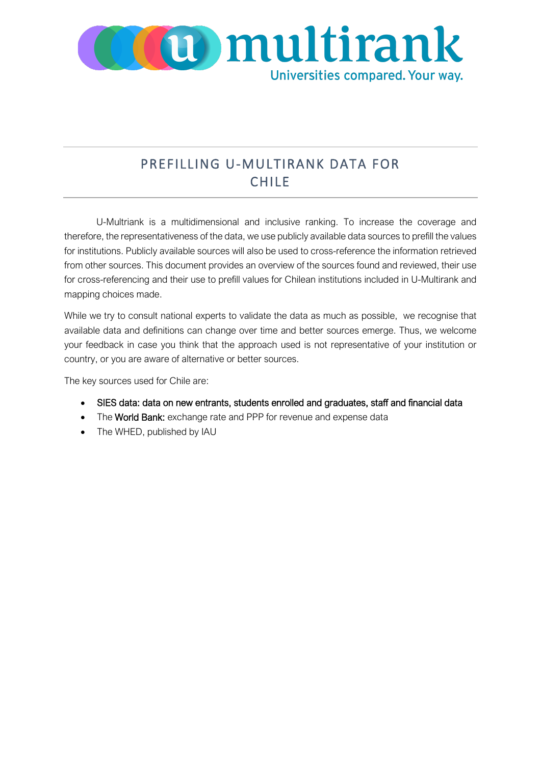

## PREFILLING U-MULTIRANK DATA FOR CHILE

U-Multriank is a multidimensional and inclusive ranking. To increase the coverage and therefore, the representativeness of the data, we use publicly available data sources to prefill the values for institutions. Publicly available sources will also be used to cross-reference the information retrieved from other sources. This document provides an overview of the sources found and reviewed, their use for cross-referencing and their use to prefill values for Chilean institutions included in U-Multirank and mapping choices made.

While we try to consult national experts to validate the data as much as possible, we recognise that available data and definitions can change over time and better sources emerge. Thus, we welcome your feedback in case you think that the approach used is not representative of your institution or country, or you are aware of alternative or better sources.

The key sources used for Chile are:

- SIES data: data on new entrants, students enrolled and graduates, staff and financial data
- The World Bank: exchange rate and PPP for revenue and expense data
- The WHED, published by IAU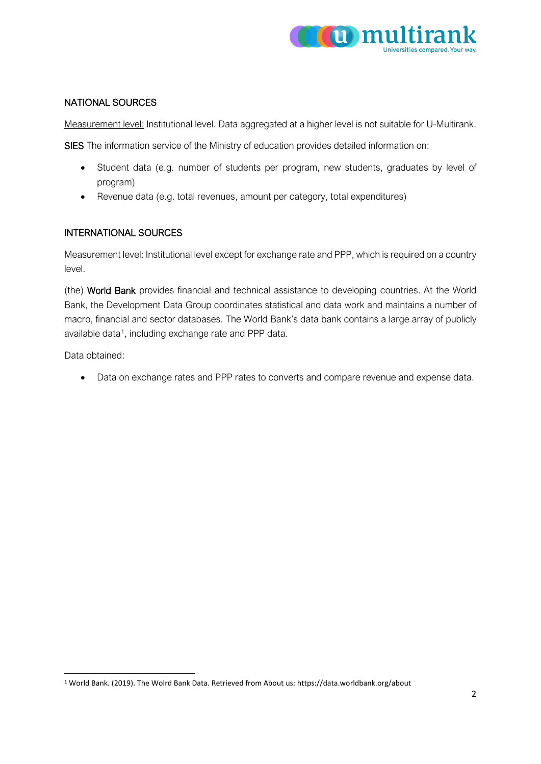

## NATIONAL SOURCES

Measurement level: Institutional level. Data aggregated at a higher level is not suitable for U-Multirank.

SIES The information service of the Ministry of education provides detailed information on:

- Student data (e.g. number of students per program, new students, graduates by level of program)
- Revenue data (e.g. total revenues, amount per category, total expenditures)

## INTERNATIONAL SOURCES

Measurement level: Institutional level except for exchange rate and PPP, which is required on a country level.

(the) World Bank provides financial and technical assistance to developing countries. At the World Bank, the Development Data Group coordinates statistical and data work and maintains a number of macro, financial and sector databases. The World Bank's data bank contains a large array of publicly available data<sup>1</sup>, including exchange rate and PPP data.

Data obtained:

• Data on exchange rates and PPP rates to converts and compare revenue and expense data.

<span id="page-1-0"></span><sup>1</sup> World Bank. (2019). The Wolrd Bank Data. Retrieved from About us: https://data.worldbank.org/about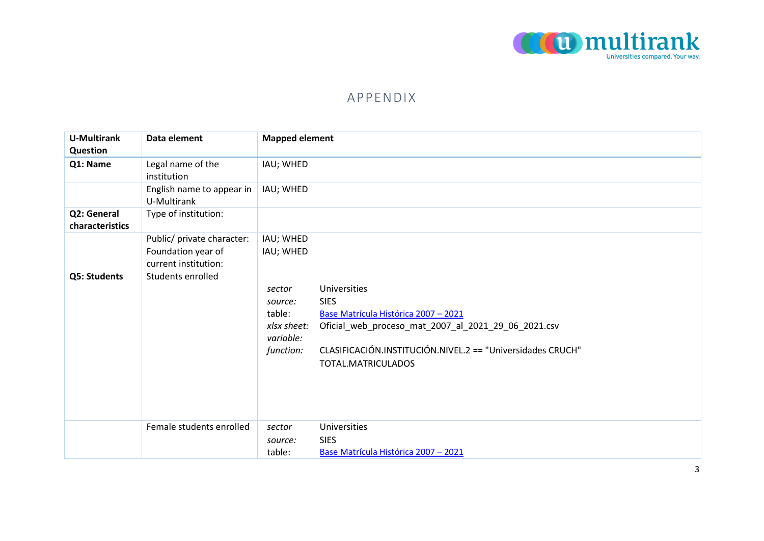

## APPENDIX

| <b>U-Multirank</b><br>Question | Data element                               | <b>Mapped element</b>                                                |                                                                                                                                                                                                                |
|--------------------------------|--------------------------------------------|----------------------------------------------------------------------|----------------------------------------------------------------------------------------------------------------------------------------------------------------------------------------------------------------|
| Q1: Name                       | Legal name of the<br>institution           | IAU; WHED                                                            |                                                                                                                                                                                                                |
|                                | English name to appear in<br>U-Multirank   | IAU; WHED                                                            |                                                                                                                                                                                                                |
| Q2: General<br>characteristics | Type of institution:                       |                                                                      |                                                                                                                                                                                                                |
|                                | Public/ private character:                 | IAU; WHED                                                            |                                                                                                                                                                                                                |
|                                | Foundation year of<br>current institution: | IAU; WHED                                                            |                                                                                                                                                                                                                |
| Q5: Students                   | Students enrolled                          | sector<br>source:<br>table:<br>xlsx sheet:<br>variable:<br>function: | Universities<br><b>SIES</b><br>Base Matrícula Histórica 2007 - 2021<br>Oficial_web_proceso_mat_2007_al_2021_29_06_2021.csv<br>CLASIFICACIÓN.INSTITUCIÓN.NIVEL.2 == "Universidades CRUCH"<br>TOTAL.MATRICULADOS |
|                                | Female students enrolled                   | sector<br>source:                                                    | <b>Universities</b><br><b>SIES</b>                                                                                                                                                                             |
|                                |                                            | table:                                                               | Base Matrícula Histórica 2007 - 2021                                                                                                                                                                           |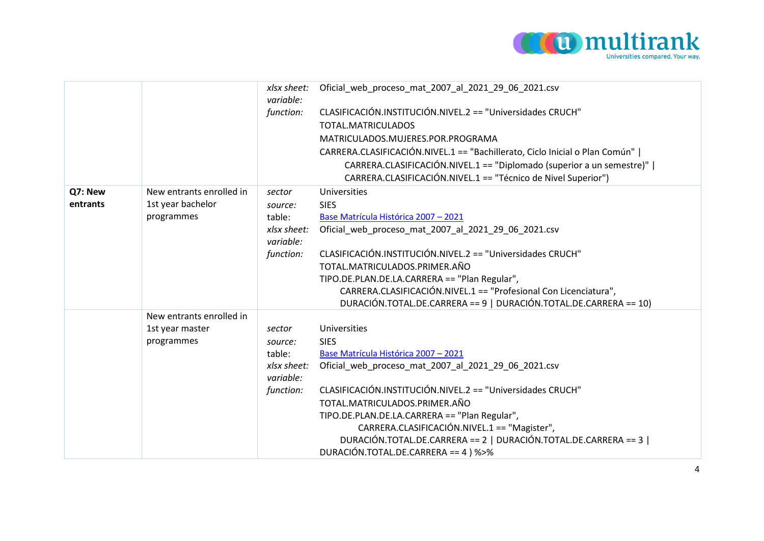

|          |                          | xlsx sheet:<br>variable: | Oficial web proceso mat 2007 al 2021 29 06 2021.csv                         |
|----------|--------------------------|--------------------------|-----------------------------------------------------------------------------|
|          |                          | function:                | CLASIFICACIÓN.INSTITUCIÓN.NIVEL.2 == "Universidades CRUCH"                  |
|          |                          |                          | TOTAL.MATRICULADOS                                                          |
|          |                          |                          | MATRICULADOS.MUJERES.POR.PROGRAMA                                           |
|          |                          |                          | CARRERA.CLASIFICACIÓN.NIVEL.1 == "Bachillerato, Ciclo Inicial o Plan Común" |
|          |                          |                          | CARRERA.CLASIFICACIÓN.NIVEL.1 == "Diplomado (superior a un semestre)"       |
|          |                          |                          | CARRERA.CLASIFICACIÓN.NIVEL.1 == "Técnico de Nivel Superior")               |
| Q7: New  | New entrants enrolled in | sector                   | Universities                                                                |
| entrants | 1st year bachelor        | source:                  | <b>SIES</b>                                                                 |
|          | programmes               | table:                   | Base Matrícula Histórica 2007 - 2021                                        |
|          |                          | xlsx sheet:<br>variable: | Oficial web proceso mat 2007 al 2021 29 06 2021.csv                         |
|          |                          | function:                | CLASIFICACIÓN.INSTITUCIÓN.NIVEL.2 == "Universidades CRUCH"                  |
|          |                          |                          | TOTAL.MATRICULADOS.PRIMER.AÑO                                               |
|          |                          |                          | TIPO.DE.PLAN.DE.LA.CARRERA == "Plan Regular",                               |
|          |                          |                          | CARRERA.CLASIFICACIÓN.NIVEL.1 == "Profesional Con Licenciatura",            |
|          |                          |                          | DURACIÓN.TOTAL.DE.CARRERA == 9   DURACIÓN.TOTAL.DE.CARRERA == 10)           |
|          | New entrants enrolled in |                          |                                                                             |
|          | 1st year master          | sector                   | Universities                                                                |
|          | programmes               | source:                  | <b>SIES</b>                                                                 |
|          |                          | table:                   | Base Matrícula Histórica 2007 - 2021                                        |
|          |                          | xlsx sheet:<br>variable: | Oficial web proceso mat 2007 al 2021 29 06 2021.csv                         |
|          |                          | function:                | CLASIFICACIÓN.INSTITUCIÓN.NIVEL.2 == "Universidades CRUCH"                  |
|          |                          |                          | TOTAL.MATRICULADOS.PRIMER.AÑO                                               |
|          |                          |                          | TIPO.DE.PLAN.DE.LA.CARRERA == "Plan Regular",                               |
|          |                          |                          | CARRERA.CLASIFICACIÓN.NIVEL.1 == "Magister",                                |
|          |                          |                          | DURACIÓN.TOTAL.DE.CARRERA == 2   DURACIÓN.TOTAL.DE.CARRERA == 3             |
|          |                          |                          | DURACIÓN.TOTAL.DE.CARRERA == 4 ) %>%                                        |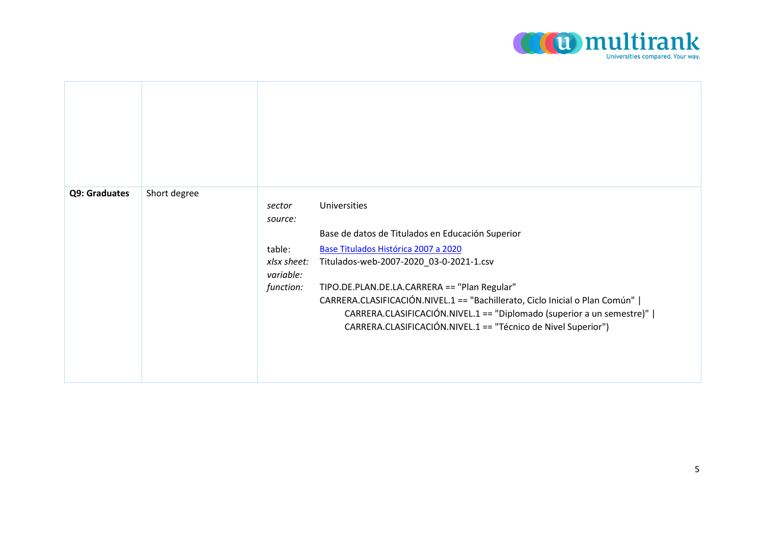

| Q9: Graduates | Short degree | sector<br>source:<br>table:<br>xlsx sheet:<br>variable:<br>function: | Universities<br>Base de datos de Titulados en Educación Superior<br>Base Titulados Histórica 2007 a 2020<br>Titulados-web-2007-2020_03-0-2021-1.csv<br>TIPO.DE.PLAN.DE.LA.CARRERA == "Plan Regular"<br>CARRERA.CLASIFICACIÓN.NIVEL.1 == "Bachillerato, Ciclo Inicial o Plan Común"  <br>CARRERA.CLASIFICACIÓN.NIVEL.1 == "Diplomado (superior a un semestre)"  <br>CARRERA.CLASIFICACIÓN.NIVEL.1 == "Técnico de Nivel Superior") |
|---------------|--------------|----------------------------------------------------------------------|----------------------------------------------------------------------------------------------------------------------------------------------------------------------------------------------------------------------------------------------------------------------------------------------------------------------------------------------------------------------------------------------------------------------------------|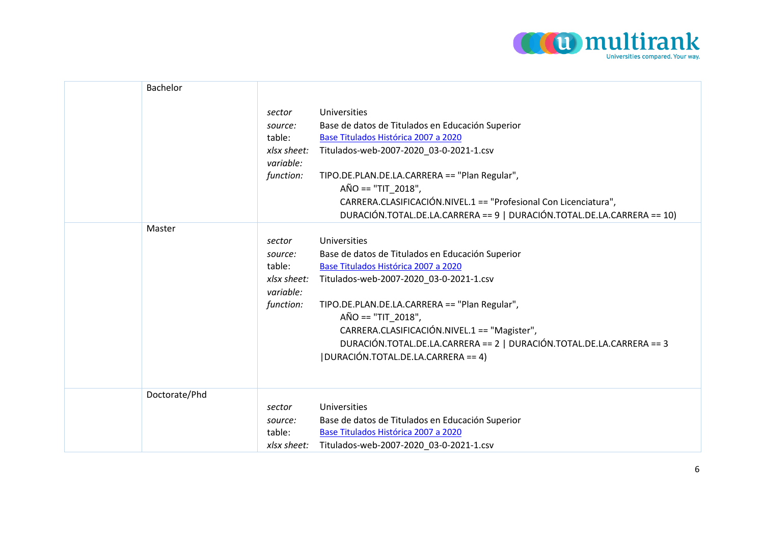

| Bachelor      |                                                                      |                                                                                                                                                                                                                                                                                                                                                                                              |
|---------------|----------------------------------------------------------------------|----------------------------------------------------------------------------------------------------------------------------------------------------------------------------------------------------------------------------------------------------------------------------------------------------------------------------------------------------------------------------------------------|
|               | sector<br>source:<br>table:<br>xlsx sheet:<br>variable:<br>function: | Universities<br>Base de datos de Titulados en Educación Superior<br>Base Titulados Histórica 2007 a 2020<br>Titulados-web-2007-2020_03-0-2021-1.csv<br>TIPO.DE.PLAN.DE.LA.CARRERA == "Plan Regular",<br>$AÑO == "TIT 2018",$<br>CARRERA.CLASIFICACIÓN.NIVEL.1 == "Profesional Con Licenciatura",<br>DURACIÓN.TOTAL.DE.LA.CARRERA == 9   DURACIÓN.TOTAL.DE.LA.CARRERA == 10)                  |
| Master        | sector<br>source:<br>table:<br>xlsx sheet:<br>variable:<br>function: | Universities<br>Base de datos de Titulados en Educación Superior<br>Base Titulados Histórica 2007 a 2020<br>Titulados-web-2007-2020_03-0-2021-1.csv<br>TIPO.DE.PLAN.DE.LA.CARRERA == "Plan Regular",<br>$AÑO == "TIT_2018",$<br>CARRERA.CLASIFICACIÓN.NIVEL.1 == "Magister",<br>DURACIÓN.TOTAL.DE.LA.CARRERA == 2   DURACIÓN.TOTAL.DE.LA.CARRERA == 3<br> DURACIÓN.TOTAL.DE.LA.CARRERA == 4) |
| Doctorate/Phd | sector<br>source:<br>table:<br>xlsx sheet:                           | Universities<br>Base de datos de Titulados en Educación Superior<br>Base Titulados Histórica 2007 a 2020<br>Titulados-web-2007-2020_03-0-2021-1.csv                                                                                                                                                                                                                                          |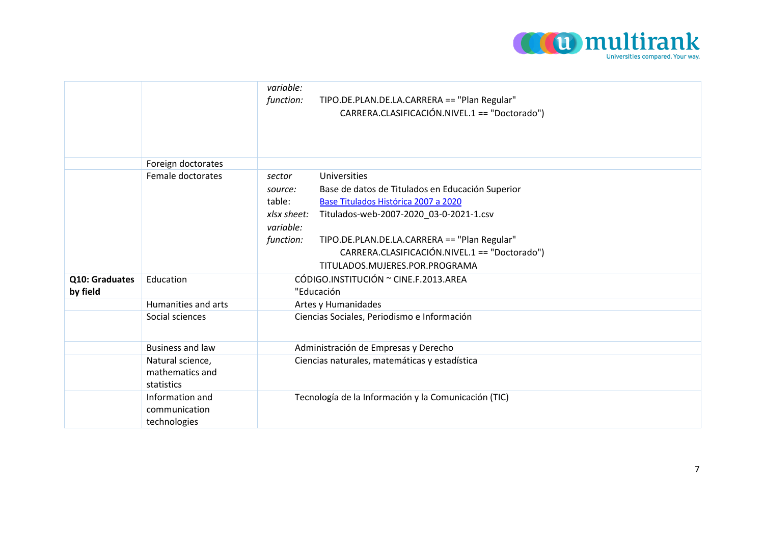

|                            |                                                   | variable:<br>TIPO.DE.PLAN.DE.LA.CARRERA == "Plan Regular"<br>function:<br>CARRERA.CLASIFICACIÓN.NIVEL.1 == "Doctorado")                                                                                                                                                                                                                                        |
|----------------------------|---------------------------------------------------|----------------------------------------------------------------------------------------------------------------------------------------------------------------------------------------------------------------------------------------------------------------------------------------------------------------------------------------------------------------|
|                            | Foreign doctorates                                |                                                                                                                                                                                                                                                                                                                                                                |
|                            | Female doctorates                                 | Universities<br>sector<br>Base de datos de Titulados en Educación Superior<br>source:<br>table:<br>Base Titulados Histórica 2007 a 2020<br>Titulados-web-2007-2020 03-0-2021-1.csv<br>xlsx sheet:<br>variable:<br>TIPO.DE.PLAN.DE.LA.CARRERA == "Plan Regular"<br>function:<br>CARRERA.CLASIFICACIÓN.NIVEL.1 == "Doctorado")<br>TITULADOS.MUJERES.POR.PROGRAMA |
| Q10: Graduates<br>by field | Education                                         | CÓDIGO.INSTITUCIÓN ~ CINE.F.2013.AREA<br>"Educación                                                                                                                                                                                                                                                                                                            |
|                            | Humanities and arts                               | Artes y Humanidades                                                                                                                                                                                                                                                                                                                                            |
|                            | Social sciences                                   | Ciencias Sociales, Periodismo e Información                                                                                                                                                                                                                                                                                                                    |
|                            | <b>Business and law</b>                           | Administración de Empresas y Derecho                                                                                                                                                                                                                                                                                                                           |
|                            | Natural science,<br>mathematics and<br>statistics | Ciencias naturales, matemáticas y estadística                                                                                                                                                                                                                                                                                                                  |
|                            | Information and<br>communication<br>technologies  | Tecnología de la Información y la Comunicación (TIC)                                                                                                                                                                                                                                                                                                           |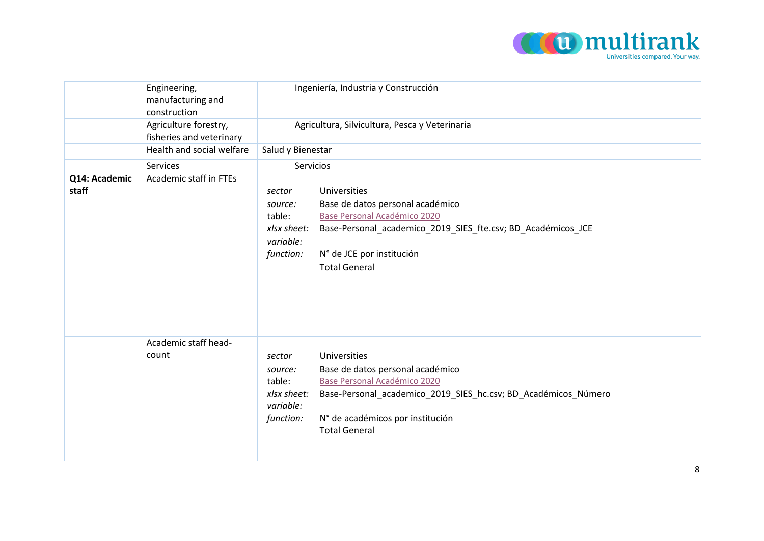

|                        | Engineering,<br>manufacturing and<br>construction | Ingeniería, Industria y Construcción                                                                                                                                                                                                                                                   |  |
|------------------------|---------------------------------------------------|----------------------------------------------------------------------------------------------------------------------------------------------------------------------------------------------------------------------------------------------------------------------------------------|--|
|                        | Agriculture forestry,<br>fisheries and veterinary | Agricultura, Silvicultura, Pesca y Veterinaria                                                                                                                                                                                                                                         |  |
|                        | Health and social welfare                         | Salud y Bienestar                                                                                                                                                                                                                                                                      |  |
|                        | Services                                          | Servicios                                                                                                                                                                                                                                                                              |  |
| Q14: Academic<br>staff | Academic staff in FTEs                            | Universities<br>sector<br>Base de datos personal académico<br>source:<br>Base Personal Académico 2020<br>table:<br>Base-Personal_academico_2019_SIES_fte.csv; BD_Académicos_JCE<br>xlsx sheet:<br>variable:<br>N° de JCE por institución<br>function:<br><b>Total General</b>          |  |
|                        | Academic staff head-<br>count                     | Universities<br>sector<br>Base de datos personal académico<br>source:<br>Base Personal Académico 2020<br>table:<br>Base-Personal_academico_2019_SIES_hc.csv; BD_Académicos_Número<br>xlsx sheet:<br>variable:<br>N° de académicos por institución<br>function:<br><b>Total General</b> |  |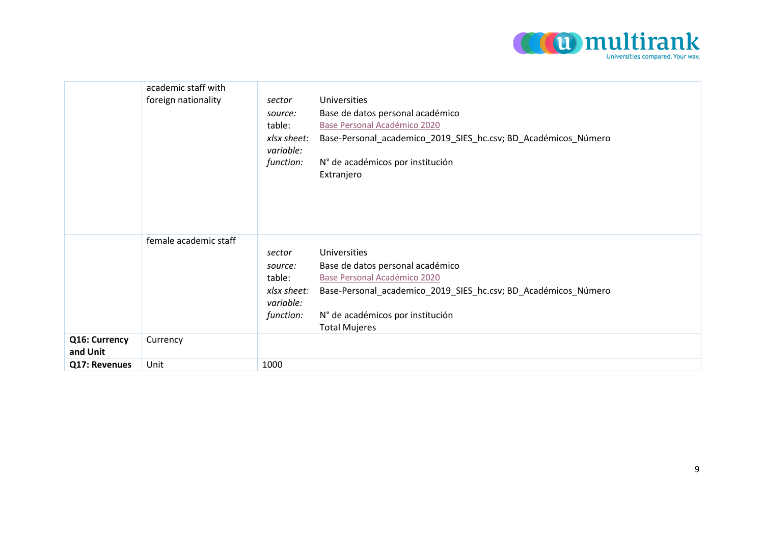

|                           | academic staff with<br>foreign nationality | sector<br>source:<br>table:<br>xlsx sheet:<br>variable:              | Universities<br>Base de datos personal académico<br>Base Personal Académico 2020<br>Base-Personal_academico_2019_SIES_hc.csv; BD_Académicos_Número                                                             |
|---------------------------|--------------------------------------------|----------------------------------------------------------------------|----------------------------------------------------------------------------------------------------------------------------------------------------------------------------------------------------------------|
|                           |                                            | function:                                                            | N° de académicos por institución<br>Extranjero                                                                                                                                                                 |
|                           | female academic staff                      | sector<br>source:<br>table:<br>xlsx sheet:<br>variable:<br>function: | Universities<br>Base de datos personal académico<br>Base Personal Académico 2020<br>Base-Personal_academico_2019_SIES_hc.csv; BD_Académicos_Número<br>N° de académicos por institución<br><b>Total Mujeres</b> |
| Q16: Currency<br>and Unit | Currency                                   |                                                                      |                                                                                                                                                                                                                |
| Q17: Revenues             | Unit                                       | 1000                                                                 |                                                                                                                                                                                                                |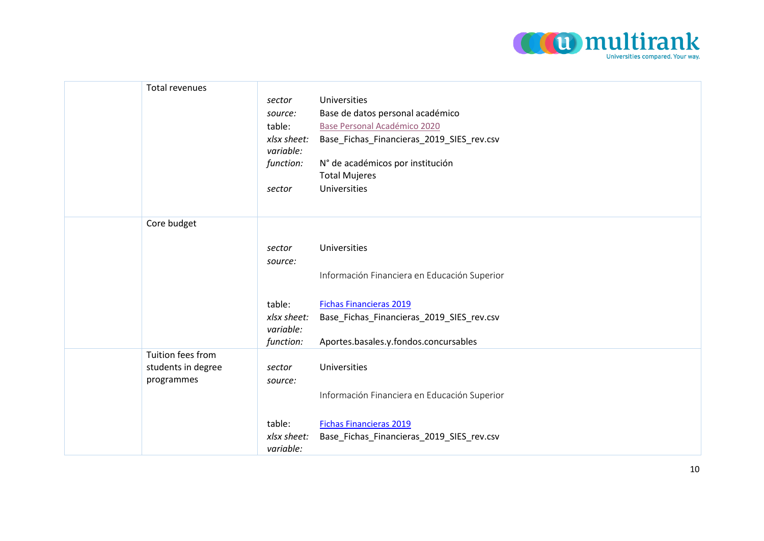

| Total revenues |                                                                      |                                                                                                                                                                                                      |
|----------------|----------------------------------------------------------------------|------------------------------------------------------------------------------------------------------------------------------------------------------------------------------------------------------|
|                |                                                                      | Universities                                                                                                                                                                                         |
|                |                                                                      | Base de datos personal académico                                                                                                                                                                     |
|                |                                                                      | Base Personal Académico 2020                                                                                                                                                                         |
|                |                                                                      | Base_Fichas_Financieras_2019_SIES_rev.csv                                                                                                                                                            |
|                |                                                                      | N° de académicos por institución                                                                                                                                                                     |
|                |                                                                      | <b>Total Mujeres</b>                                                                                                                                                                                 |
|                |                                                                      | Universities                                                                                                                                                                                         |
|                |                                                                      |                                                                                                                                                                                                      |
|                |                                                                      |                                                                                                                                                                                                      |
|                |                                                                      |                                                                                                                                                                                                      |
|                |                                                                      | Universities                                                                                                                                                                                         |
|                |                                                                      |                                                                                                                                                                                                      |
|                |                                                                      |                                                                                                                                                                                                      |
|                |                                                                      | Información Financiera en Educación Superior                                                                                                                                                         |
|                |                                                                      |                                                                                                                                                                                                      |
|                |                                                                      | <b>Fichas Financieras 2019</b>                                                                                                                                                                       |
|                |                                                                      | Base_Fichas_Financieras_2019_SIES_rev.csv                                                                                                                                                            |
|                |                                                                      | Aportes.basales.y.fondos.concursables                                                                                                                                                                |
|                |                                                                      |                                                                                                                                                                                                      |
|                |                                                                      | Universities                                                                                                                                                                                         |
|                |                                                                      |                                                                                                                                                                                                      |
|                |                                                                      | Información Financiera en Educación Superior                                                                                                                                                         |
|                |                                                                      |                                                                                                                                                                                                      |
|                |                                                                      | <b>Fichas Financieras 2019</b>                                                                                                                                                                       |
|                |                                                                      | Base_Fichas_Financieras_2019_SIES_rev.csv                                                                                                                                                            |
|                | variable:                                                            |                                                                                                                                                                                                      |
|                | Core budget<br>Tuition fees from<br>students in degree<br>programmes | sector<br>source:<br>table:<br>xlsx sheet:<br>variable:<br>function:<br>sector<br>sector<br>source:<br>table:<br>xlsx sheet:<br>variable:<br>function:<br>sector<br>source:<br>table:<br>xlsx sheet: |